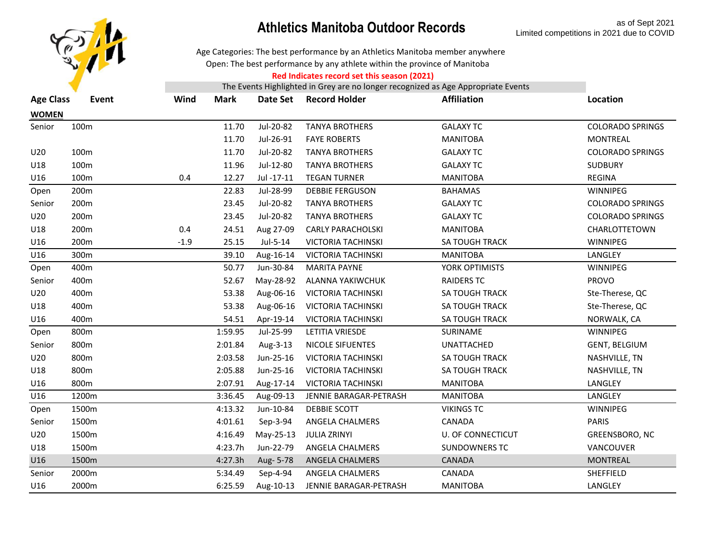

Age Categories: The best performance by an Athletics Manitoba member anywhere

Open: The best performance by any athlete within the province of Manitoba

#### **Red Indicates record set this season (2021)**

| <b>Age Class</b> | Event            | Wind   | <b>Mark</b> | Date Set   | <b>Record Holder</b>      | <b>Affiliation</b>    | Location                |
|------------------|------------------|--------|-------------|------------|---------------------------|-----------------------|-------------------------|
| <b>WOMEN</b>     |                  |        |             |            |                           |                       |                         |
| Senior           | 100m             |        | 11.70       | Jul-20-82  | <b>TANYA BROTHERS</b>     | <b>GALAXY TC</b>      | <b>COLORADO SPRINGS</b> |
|                  |                  |        | 11.70       | Jul-26-91  | <b>FAYE ROBERTS</b>       | <b>MANITOBA</b>       | <b>MONTREAL</b>         |
| U20              | 100 <sub>m</sub> |        | 11.70       | Jul-20-82  | <b>TANYA BROTHERS</b>     | <b>GALAXY TC</b>      | <b>COLORADO SPRINGS</b> |
| U18              | 100m             |        | 11.96       | Jul-12-80  | <b>TANYA BROTHERS</b>     | <b>GALAXY TC</b>      | <b>SUDBURY</b>          |
| U16              | 100m             | 0.4    | 12.27       | Jul -17-11 | <b>TEGAN TURNER</b>       | <b>MANITOBA</b>       | <b>REGINA</b>           |
| Open             | 200m             |        | 22.83       | Jul-28-99  | <b>DEBBIE FERGUSON</b>    | <b>BAHAMAS</b>        | WINNIPEG                |
| Senior           | 200m             |        | 23.45       | Jul-20-82  | <b>TANYA BROTHERS</b>     | <b>GALAXY TC</b>      | <b>COLORADO SPRINGS</b> |
| U20              | 200m             |        | 23.45       | Jul-20-82  | <b>TANYA BROTHERS</b>     | <b>GALAXY TC</b>      | <b>COLORADO SPRINGS</b> |
| U18              | 200m             | 0.4    | 24.51       | Aug 27-09  | <b>CARLY PARACHOLSKI</b>  | <b>MANITOBA</b>       | CHARLOTTETOWN           |
| U16              | 200m             | $-1.9$ | 25.15       | Jul-5-14   | <b>VICTORIA TACHINSKI</b> | SA TOUGH TRACK        | <b>WINNIPEG</b>         |
| U16              | 300m             |        | 39.10       | Aug-16-14  | <b>VICTORIA TACHINSKI</b> | <b>MANITOBA</b>       | LANGLEY                 |
| Open             | 400m             |        | 50.77       | Jun-30-84  | <b>MARITA PAYNE</b>       | YORK OPTIMISTS        | WINNIPEG                |
| Senior           | 400m             |        | 52.67       | May-28-92  | ALANNA YAKIWCHUK          | <b>RAIDERS TC</b>     | <b>PROVO</b>            |
| U20              | 400m             |        | 53.38       | Aug-06-16  | <b>VICTORIA TACHINSKI</b> | <b>SA TOUGH TRACK</b> | Ste-Therese, QC         |
| U18              | 400m             |        | 53.38       | Aug-06-16  | <b>VICTORIA TACHINSKI</b> | <b>SA TOUGH TRACK</b> | Ste-Therese, QC         |
| U16              | 400m             |        | 54.51       | Apr-19-14  | <b>VICTORIA TACHINSKI</b> | SA TOUGH TRACK        | NORWALK, CA             |
| Open             | 800m             |        | 1:59.95     | Jul-25-99  | <b>LETITIA VRIESDE</b>    | SURINAME              | WINNIPEG                |
| Senior           | 800m             |        | 2:01.84     | Aug-3-13   | NICOLE SIFUENTES          | UNATTACHED            | GENT, BELGIUM           |
| U20              | 800m             |        | 2:03.58     | Jun-25-16  | <b>VICTORIA TACHINSKI</b> | <b>SA TOUGH TRACK</b> | NASHVILLE, TN           |
| U18              | 800m             |        | 2:05.88     | Jun-25-16  | <b>VICTORIA TACHINSKI</b> | <b>SA TOUGH TRACK</b> | NASHVILLE, TN           |
| U16              | 800m             |        | 2:07.91     | Aug-17-14  | <b>VICTORIA TACHINSKI</b> | <b>MANITOBA</b>       | LANGLEY                 |
| U16              | 1200m            |        | 3:36.45     | Aug-09-13  | JENNIE BARAGAR-PETRASH    | <b>MANITOBA</b>       | LANGLEY                 |
| Open             | 1500m            |        | 4:13.32     | Jun-10-84  | DEBBIE SCOTT              | <b>VIKINGS TC</b>     | WINNIPEG                |
| Senior           | 1500m            |        | 4:01.61     | Sep-3-94   | ANGELA CHALMERS           | CANADA                | <b>PARIS</b>            |
| U20              | 1500m            |        | 4:16.49     | May-25-13  | <b>JULIA ZRINYI</b>       | U. OF CONNECTICUT     | GREENSBORO, NC          |
| U18              | 1500m            |        | 4:23.7h     | Jun-22-79  | ANGELA CHALMERS           | <b>SUNDOWNERS TC</b>  | VANCOUVER               |
| U16              | 1500m            |        | 4:27.3h     | Aug- 5-78  | ANGELA CHALMERS           | <b>CANADA</b>         | <b>MONTREAL</b>         |
| Senior           | 2000m            |        | 5:34.49     | Sep-4-94   | ANGELA CHALMERS           | CANADA                | SHEFFIELD               |
| U16              | 2000m            |        | 6:25.59     | Aug-10-13  | JENNIE BARAGAR-PETRASH    | <b>MANITOBA</b>       | LANGLEY                 |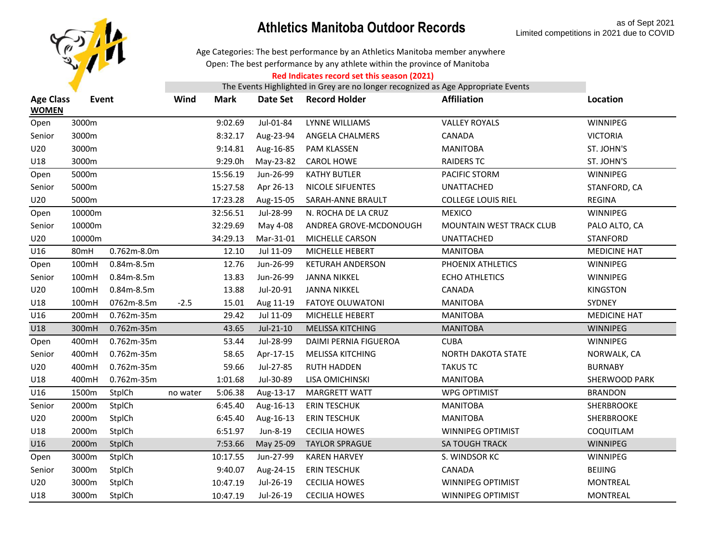

Age Categories: The best performance by an Athletics Manitoba member anywhere

Open: The best performance by any athlete within the province of Manitoba

#### **Red Indicates record set this season (2021)**

| <b>Age Class</b><br><b>WOMEN</b> | Event  |              | Wind     | <b>Mark</b> | Date Set  | <b>Record Holder</b>         | <b>Affiliation</b>        | Location            |
|----------------------------------|--------|--------------|----------|-------------|-----------|------------------------------|---------------------------|---------------------|
| Open                             | 3000m  |              |          | 9:02.69     | Jul-01-84 | <b>LYNNE WILLIAMS</b>        | <b>VALLEY ROYALS</b>      | WINNIPEG            |
| Senior                           | 3000m  |              |          | 8:32.17     | Aug-23-94 | ANGELA CHALMERS              | CANADA                    | <b>VICTORIA</b>     |
| U20                              | 3000m  |              |          | 9:14.81     | Aug-16-85 | <b>PAM KLASSEN</b>           | <b>MANITOBA</b>           | ST. JOHN'S          |
| U18                              | 3000m  |              |          | 9:29.0h     | May-23-82 | <b>CAROL HOWE</b>            | <b>RAIDERS TC</b>         | ST. JOHN'S          |
| Open                             | 5000m  |              |          | 15:56.19    | Jun-26-99 | <b>KATHY BUTLER</b>          | PACIFIC STORM             | WINNIPEG            |
| Senior                           | 5000m  |              |          | 15:27.58    | Apr 26-13 | <b>NICOLE SIFUENTES</b>      | <b>UNATTACHED</b>         | STANFORD, CA        |
| U20                              | 5000m  |              |          | 17:23.28    | Aug-15-05 | SARAH-ANNE BRAULT            | <b>COLLEGE LOUIS RIEL</b> | <b>REGINA</b>       |
| Open                             | 10000m |              |          | 32:56.51    | Jul-28-99 | N. ROCHA DE LA CRUZ          | <b>MEXICO</b>             | WINNIPEG            |
| Senior                           | 10000m |              |          | 32:29.69    | May 4-08  | ANDREA GROVE-MCDONOUGH       | MOUNTAIN WEST TRACK CLUB  | PALO ALTO, CA       |
| U20                              | 10000m |              |          | 34:29.13    | Mar-31-01 | MICHELLE CARSON              | UNATTACHED                | <b>STANFORD</b>     |
| U16                              | 80mH   | 0.762m-8.0m  |          | 12.10       | Jul 11-09 | MICHELLE HEBERT              | <b>MANITOBA</b>           | <b>MEDICINE HAT</b> |
| Open                             | 100mH  | $0.84m-8.5m$ |          | 12.76       | Jun-26-99 | <b>KETURAH ANDERSON</b>      | PHOENIX ATHLETICS         | WINNIPEG            |
| Senior                           | 100mH  | 0.84m-8.5m   |          | 13.83       | Jun-26-99 | <b>JANNA NIKKEL</b>          | <b>ECHO ATHLETICS</b>     | WINNIPEG            |
| U20                              | 100mH  | $0.84m-8.5m$ |          | 13.88       | Jul-20-91 | <b>JANNA NIKKEL</b>          | CANADA                    | <b>KINGSTON</b>     |
| U18                              | 100mH  | 0762m-8.5m   | $-2.5$   | 15.01       | Aug 11-19 | <b>FATOYE OLUWATONI</b>      | <b>MANITOBA</b>           | SYDNEY              |
| U16                              | 200mH  | 0.762m-35m   |          | 29.42       | Jul 11-09 | MICHELLE HEBERT              | <b>MANITOBA</b>           | <b>MEDICINE HAT</b> |
| U18                              | 300mH  | 0.762m-35m   |          | 43.65       | Jul-21-10 | <b>MELISSA KITCHING</b>      | <b>MANITOBA</b>           | <b>WINNIPEG</b>     |
| Open                             | 400mH  | 0.762m-35m   |          | 53.44       | Jul-28-99 | <b>DAIMI PERNIA FIGUEROA</b> | <b>CUBA</b>               | WINNIPEG            |
| Senior                           | 400mH  | 0.762m-35m   |          | 58.65       | Apr-17-15 | MELISSA KITCHING             | NORTH DAKOTA STATE        | NORWALK, CA         |
| U20                              | 400mH  | 0.762m-35m   |          | 59.66       | Jul-27-85 | <b>RUTH HADDEN</b>           | <b>TAKUS TC</b>           | <b>BURNABY</b>      |
| U18                              | 400mH  | 0.762m-35m   |          | 1:01.68     | Jul-30-89 | LISA OMICHINSKI              | <b>MANITOBA</b>           | SHERWOOD PARK       |
| U16                              | 1500m  | StplCh       | no water | 5:06.38     | Aug-13-17 | <b>MARGRETT WATT</b>         | <b>WPG OPTIMIST</b>       | <b>BRANDON</b>      |
| Senior                           | 2000m  | StplCh       |          | 6:45.40     | Aug-16-13 | <b>ERIN TESCHUK</b>          | <b>MANITOBA</b>           | SHERBROOKE          |
| U20                              | 2000m  | StplCh       |          | 6:45.40     | Aug-16-13 | <b>ERIN TESCHUK</b>          | <b>MANITOBA</b>           | SHERBROOKE          |
| U18                              | 2000m  | StplCh       |          | 6:51.97     | Jun-8-19  | <b>CECILIA HOWES</b>         | <b>WINNIPEG OPTIMIST</b>  | COQUITLAM           |
| U16                              | 2000m  | StplCh       |          | 7:53.66     | May 25-09 | <b>TAYLOR SPRAGUE</b>        | <b>SA TOUGH TRACK</b>     | WINNIPEG            |
| Open                             | 3000m  | StplCh       |          | 10:17.55    | Jun-27-99 | <b>KAREN HARVEY</b>          | S. WINDSOR KC             | WINNIPEG            |
| Senior                           | 3000m  | StplCh       |          | 9:40.07     | Aug-24-15 | <b>ERIN TESCHUK</b>          | CANADA                    | <b>BEIJING</b>      |
| U20                              | 3000m  | StplCh       |          | 10:47.19    | Jul-26-19 | <b>CECILIA HOWES</b>         | WINNIPEG OPTIMIST         | <b>MONTREAL</b>     |
| U18                              | 3000m  | StplCh       |          | 10:47.19    | Jul-26-19 | <b>CECILIA HOWES</b>         | <b>WINNIPEG OPTIMIST</b>  | <b>MONTREAL</b>     |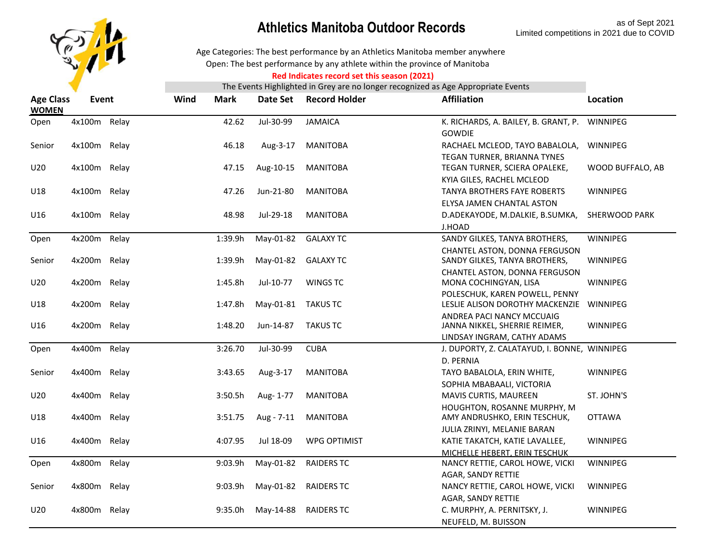

Open: The best performance by any athlete within the province of Manitoba Age Categories: The best performance by an Athletics Manitoba member anywhere

#### **Red Indicates record set this season (2021)**

| <b>Age Class</b><br><b>WOMEN</b> | <b>Event</b> |       | Wind | <b>Mark</b> | Date Set   | <b>Record Holder</b> | <b>Affiliation</b>                                                | Location         |
|----------------------------------|--------------|-------|------|-------------|------------|----------------------|-------------------------------------------------------------------|------------------|
| Open                             | 4x100m Relay |       |      | 42.62       | Jul-30-99  | <b>JAMAICA</b>       | K. RICHARDS, A. BAILEY, B. GRANT, P.<br><b>GOWDIE</b>             | WINNIPEG         |
| Senior                           | 4x100m Relay |       |      | 46.18       | Aug-3-17   | <b>MANITOBA</b>      | RACHAEL MCLEOD, TAYO BABALOLA,                                    | WINNIPEG         |
|                                  |              |       |      |             |            |                      | TEGAN TURNER, BRIANNA TYNES                                       |                  |
| U20                              | 4x100m Relay |       |      | 47.15       | Aug-10-15  | <b>MANITOBA</b>      | TEGAN TURNER, SCIERA OPALEKE,                                     | WOOD BUFFALO, AB |
|                                  |              |       |      |             |            |                      | KYIA GILES, RACHEL MCLEOD                                         |                  |
| U18                              | 4x100m Relay |       |      | 47.26       | Jun-21-80  | <b>MANITOBA</b>      | <b>TANYA BROTHERS FAYE ROBERTS</b>                                | WINNIPEG         |
|                                  |              |       |      |             |            |                      | ELYSA JAMEN CHANTAL ASTON                                         |                  |
| U16                              | 4x100m Relay |       |      | 48.98       | Jul-29-18  | <b>MANITOBA</b>      | D.ADEKAYODE, M.DALKIE, B.SUMKA,                                   | SHERWOOD PARK    |
|                                  |              |       |      |             |            |                      | J.HOAD                                                            |                  |
| Open                             | 4x200m Relay |       |      | 1:39.9h     | May-01-82  | <b>GALAXY TC</b>     | SANDY GILKES, TANYA BROTHERS,                                     | WINNIPEG         |
| Senior                           | 4x200m Relay |       |      | 1:39.9h     | May-01-82  | <b>GALAXY TC</b>     | CHANTEL ASTON, DONNA FERGUSON<br>SANDY GILKES, TANYA BROTHERS,    | WINNIPEG         |
|                                  |              |       |      |             |            |                      | CHANTEL ASTON, DONNA FERGUSON                                     |                  |
| U20                              | 4x200m Relay |       |      | 1:45.8h     | Jul-10-77  | <b>WINGS TC</b>      | MONA COCHINGYAN, LISA                                             | WINNIPEG         |
| U18                              | 4x200m       | Relay |      | 1:47.8h     | May-01-81  | <b>TAKUS TC</b>      | POLESCHUK, KAREN POWELL, PENNY<br>LESLIE ALISON DOROTHY MACKENZIE | WINNIPEG         |
| U16                              | 4x200m Relay |       |      | 1:48.20     | Jun-14-87  | <b>TAKUS TC</b>      | ANDREA PACI NANCY MCCUAIG<br>JANNA NIKKEL, SHERRIE REIMER,        | WINNIPEG         |
|                                  |              |       |      |             |            |                      | LINDSAY INGRAM, CATHY ADAMS                                       |                  |
| Open                             | 4x400m Relay |       |      | 3:26.70     | Jul-30-99  | <b>CUBA</b>          | J. DUPORTY, Z. CALATAYUD, I. BONNE, WINNIPEG<br>D. PERNIA         |                  |
| Senior                           | 4x400m Relay |       |      | 3:43.65     | Aug-3-17   | <b>MANITOBA</b>      | TAYO BABALOLA, ERIN WHITE,                                        | WINNIPEG         |
|                                  |              |       |      |             |            |                      | SOPHIA MBABAALI, VICTORIA                                         |                  |
| U20                              | 4x400m Relay |       |      | 3:50.5h     | Aug- 1-77  | <b>MANITOBA</b>      | MAVIS CURTIS, MAUREEN                                             | ST. JOHN'S       |
|                                  |              |       |      |             |            |                      | HOUGHTON, ROSANNE MURPHY, M                                       |                  |
| U18                              | 4x400m       | Relay |      | 3:51.75     | Aug - 7-11 | <b>MANITOBA</b>      | AMY ANDRUSHKO, ERIN TESCHUK,                                      | <b>OTTAWA</b>    |
|                                  |              |       |      |             |            |                      | JULIA ZRINYI, MELANIE BARAN                                       |                  |
| U16                              | 4x400m Relay |       |      | 4:07.95     | Jul 18-09  | <b>WPG OPTIMIST</b>  | KATIE TAKATCH, KATIE LAVALLEE,                                    | WINNIPEG         |
|                                  |              |       |      |             |            |                      | MICHELLE HEBERT, ERIN TESCHUK                                     |                  |
| Open                             | 4x800m       | Relay |      | 9:03.9h     | May-01-82  | <b>RAIDERS TC</b>    | NANCY RETTIE, CAROL HOWE, VICKI                                   | WINNIPEG         |
|                                  |              |       |      |             |            |                      | AGAR, SANDY RETTIE                                                |                  |
| Senior                           | 4x800m Relay |       |      | 9:03.9h     | May-01-82  | <b>RAIDERS TC</b>    | NANCY RETTIE, CAROL HOWE, VICKI                                   | WINNIPEG         |
|                                  |              |       |      |             |            |                      | AGAR, SANDY RETTIE                                                |                  |
| U20                              | 4x800m Relay |       |      | 9:35.0h     | May-14-88  | <b>RAIDERS TC</b>    | C. MURPHY, A. PERNITSKY, J.                                       | WINNIPEG         |
|                                  |              |       |      |             |            |                      | NEUFELD, M. BUISSON                                               |                  |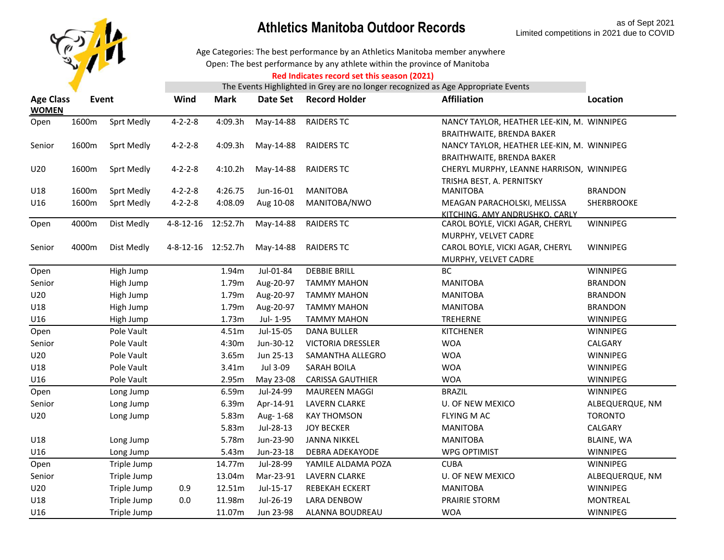

Open: The best performance by any athlete within the province of Manitoba Age Categories: The best performance by an Athletics Manitoba member anywhere

#### **Red Indicates record set this season (2021)**

| <b>Age Class</b><br><b>WOMEN</b> |       | Wind<br>Event<br><b>Mark</b><br>Date Set |                    | <b>Record Holder</b> | <b>Affiliation</b> | Location                 |                                            |                   |
|----------------------------------|-------|------------------------------------------|--------------------|----------------------|--------------------|--------------------------|--------------------------------------------|-------------------|
| Open                             | 1600m | Sprt Medly                               | $4 - 2 - 2 - 8$    | 4:09.3h              | May-14-88          | <b>RAIDERS TC</b>        | NANCY TAYLOR, HEATHER LEE-KIN, M. WINNIPEG |                   |
|                                  |       |                                          |                    |                      |                    |                          | BRAITHWAITE, BRENDA BAKER                  |                   |
| Senior                           | 1600m | Sprt Medly                               | $4 - 2 - 2 - 8$    | 4:09.3h              | May-14-88          | <b>RAIDERS TC</b>        | NANCY TAYLOR, HEATHER LEE-KIN, M. WINNIPEG |                   |
|                                  |       |                                          |                    |                      |                    |                          | BRAITHWAITE, BRENDA BAKER                  |                   |
| U20                              | 1600m | Sprt Medly                               | $4 - 2 - 2 - 8$    | 4:10.2h              | May-14-88          | <b>RAIDERS TC</b>        | CHERYL MURPHY, LEANNE HARRISON, WINNIPEG   |                   |
|                                  |       |                                          |                    |                      |                    |                          | TRISHA BEST, A. PERNITSKY                  |                   |
| U18                              | 1600m | <b>Sprt Medly</b>                        | $4 - 2 - 2 - 8$    | 4:26.75              | Jun-16-01          | <b>MANITOBA</b>          | <b>MANITOBA</b>                            | <b>BRANDON</b>    |
| U16                              | 1600m | Sprt Medly                               | $4 - 2 - 2 - 8$    | 4:08.09              | Aug 10-08          | MANITOBA/NWO             | MEAGAN PARACHOLSKI, MELISSA                | SHERBROOKE        |
|                                  |       |                                          |                    |                      |                    |                          | KITCHING, AMY ANDRUSHKO, CARLY             |                   |
| Open                             | 4000m | Dist Medly                               | $4 - 8 - 12 - 16$  | 12:52.7h             | May-14-88          | <b>RAIDERS TC</b>        | CAROL BOYLE, VICKI AGAR, CHERYL            | WINNIPEG          |
|                                  |       |                                          |                    |                      |                    |                          | MURPHY, VELVET CADRE                       |                   |
| Senior                           | 4000m | Dist Medly                               | 4-8-12-16 12:52.7h |                      | May-14-88          | <b>RAIDERS TC</b>        | CAROL BOYLE, VICKI AGAR, CHERYL            | WINNIPEG          |
|                                  |       |                                          |                    |                      | Jul-01-84          | <b>DEBBIE BRILL</b>      | MURPHY, VELVET CADRE<br><b>BC</b>          | WINNIPEG          |
| Open                             |       | High Jump                                |                    | 1.94m                |                    |                          |                                            |                   |
| Senior                           |       | High Jump                                |                    | 1.79m                | Aug-20-97          | <b>TAMMY MAHON</b>       | <b>MANITOBA</b>                            | <b>BRANDON</b>    |
| U20                              |       | High Jump                                |                    | 1.79m                | Aug-20-97          | <b>TAMMY MAHON</b>       | <b>MANITOBA</b>                            | <b>BRANDON</b>    |
| U18                              |       | High Jump                                |                    | 1.79m                | Aug-20-97          | <b>TAMMY MAHON</b>       | <b>MANITOBA</b>                            | <b>BRANDON</b>    |
| U16                              |       | High Jump                                |                    | 1.73m                | Jul- 1-95          | <b>TAMMY MAHON</b>       | TREHERNE                                   | WINNIPEG          |
| Open                             |       | Pole Vault                               |                    | 4.51m                | Jul-15-05          | <b>DANA BULLER</b>       | <b>KITCHENER</b>                           | WINNIPEG          |
| Senior                           |       | Pole Vault                               |                    | 4:30m                | Jun-30-12          | <b>VICTORIA DRESSLER</b> | <b>WOA</b>                                 | CALGARY           |
| U20                              |       | Pole Vault                               |                    | 3.65m                | Jun 25-13          | SAMANTHA ALLEGRO         | <b>WOA</b>                                 | WINNIPEG          |
| U18                              |       | Pole Vault                               |                    | 3.41m                | Jul 3-09           | SARAH BOILA              | <b>WOA</b>                                 | WINNIPEG          |
| U16                              |       | Pole Vault                               |                    | 2.95m                | May 23-08          | <b>CARISSA GAUTHIER</b>  | <b>WOA</b>                                 | WINNIPEG          |
| Open                             |       | Long Jump                                |                    | 6.59m                | Jul-24-99          | <b>MAUREEN MAGGI</b>     | <b>BRAZIL</b>                              | <b>WINNIPEG</b>   |
| Senior                           |       | Long Jump                                |                    | 6.39m                | Apr-14-91          | <b>LAVERN CLARKE</b>     | <b>U. OF NEW MEXICO</b>                    | ALBEQUERQUE, NM   |
| U20                              |       | Long Jump                                |                    | 5.83m                | Aug-1-68           | <b>KAY THOMSON</b>       | FLYING M AC                                | <b>TORONTO</b>    |
|                                  |       |                                          |                    | 5.83m                | Jul-28-13          | <b>JOY BECKER</b>        | <b>MANITOBA</b>                            | CALGARY           |
| U18                              |       | Long Jump                                |                    | 5.78m                | Jun-23-90          | <b>JANNA NIKKEL</b>      | <b>MANITOBA</b>                            | <b>BLAINE, WA</b> |
| U16                              |       | Long Jump                                |                    | 5.43m                | Jun-23-18          | <b>DEBRA ADEKAYODE</b>   | <b>WPG OPTIMIST</b>                        | WINNIPEG          |
| Open                             |       | Triple Jump                              |                    | 14.77m               | Jul-28-99          | YAMILE ALDAMA POZA       | <b>CUBA</b>                                | WINNIPEG          |
| Senior                           |       | Triple Jump                              |                    | 13.04m               | Mar-23-91          | <b>LAVERN CLARKE</b>     | <b>U. OF NEW MEXICO</b>                    | ALBEQUERQUE, NM   |
| U20                              |       | Triple Jump                              | 0.9                | 12.51m               | Jul-15-17          | REBEKAH ECKERT           | <b>MANITOBA</b>                            | WINNIPEG          |
| U18                              |       | Triple Jump                              | $0.0\,$            | 11.98m               | Jul-26-19          | <b>LARA DENBOW</b>       | PRAIRIE STORM                              | <b>MONTREAL</b>   |
| U16                              |       | Triple Jump                              |                    | 11.07m               | Jun 23-98          | ALANNA BOUDREAU          | <b>WOA</b>                                 | WINNIPEG          |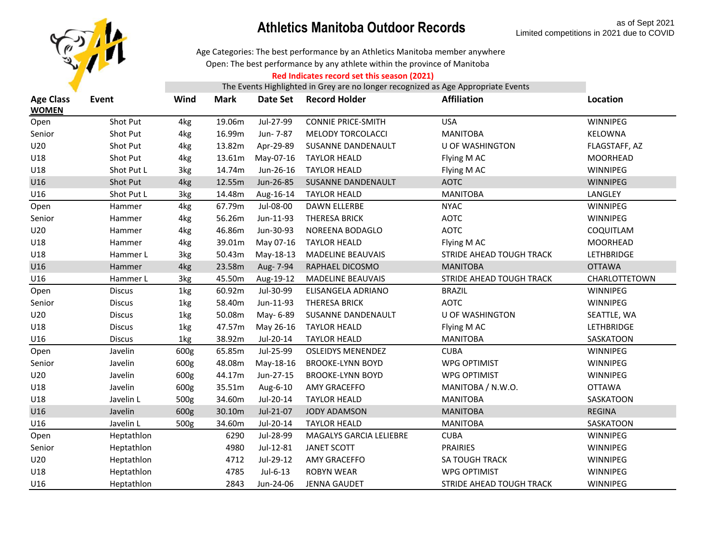

Open: The best performance by any athlete within the province of Manitoba Age Categories: The best performance by an Athletics Manitoba member anywhere

#### **Red Indicates record set this season (2021)**

| <b>Age Class</b><br><b>WOMEN</b> | Event         | Wind | <b>Mark</b> | Date Set  | <b>Record Holder</b>      | <b>Affiliation</b>              | Location        |
|----------------------------------|---------------|------|-------------|-----------|---------------------------|---------------------------------|-----------------|
| Open                             | Shot Put      | 4kg  | 19.06m      | Jul-27-99 | <b>CONNIE PRICE-SMITH</b> | <b>USA</b>                      | WINNIPEG        |
| Senior                           | Shot Put      | 4kg  | 16.99m      | Jun- 7-87 | MELODY TORCOLACCI         | <b>MANITOBA</b>                 | KELOWNA         |
| U20                              | Shot Put      | 4kg  | 13.82m      | Apr-29-89 | SUSANNE DANDENAULT        | <b>U OF WASHINGTON</b>          | FLAGSTAFF, AZ   |
| U18                              | Shot Put      | 4kg  | 13.61m      | May-07-16 | <b>TAYLOR HEALD</b>       | Flying M AC                     | <b>MOORHEAD</b> |
| U18                              | Shot Put L    | 3kg  | 14.74m      | Jun-26-16 | <b>TAYLOR HEALD</b>       | Flying M AC                     | WINNIPEG        |
| U16                              | Shot Put      | 4kg  | 12.55m      | Jun-26-85 | SUSANNE DANDENAULT        | <b>AOTC</b>                     | WINNIPEG        |
| U16                              | Shot Put L    | 3kg  | 14.48m      | Aug-16-14 | <b>TAYLOR HEALD</b>       | <b>MANITOBA</b>                 | LANGLEY         |
| Open                             | Hammer        | 4kg  | 67.79m      | Jul-08-00 | <b>DAWN ELLERBE</b>       | <b>NYAC</b>                     | WINNIPEG        |
| Senior                           | Hammer        | 4kg  | 56.26m      | Jun-11-93 | <b>THERESA BRICK</b>      | <b>AOTC</b>                     | WINNIPEG        |
| U20                              | Hammer        | 4kg  | 46.86m      | Jun-30-93 | NOREENA BODAGLO           | <b>AOTC</b>                     | COQUITLAM       |
| U18                              | Hammer        | 4kg  | 39.01m      | May 07-16 | <b>TAYLOR HEALD</b>       | Flying M AC                     | <b>MOORHEAD</b> |
| U18                              | Hammer L      | 3kg  | 50.43m      | May-18-13 | <b>MADELINE BEAUVAIS</b>  | <b>STRIDE AHEAD TOUGH TRACK</b> | LETHBRIDGE      |
| U16                              | Hammer        | 4kg  | 23.58m      | Aug- 7-94 | RAPHAEL DICOSMO           | <b>MANITOBA</b>                 | <b>OTTAWA</b>   |
| U16                              | Hammer L      | 3kg  | 45.50m      | Aug-19-12 | <b>MADELINE BEAUVAIS</b>  | STRIDE AHEAD TOUGH TRACK        | CHARLOTTETOWN   |
| Open                             | <b>Discus</b> | 1kg  | 60.92m      | Jul-30-99 | ELISANGELA ADRIANO        | <b>BRAZIL</b>                   | WINNIPEG        |
| Senior                           | <b>Discus</b> | 1kg  | 58.40m      | Jun-11-93 | <b>THERESA BRICK</b>      | <b>AOTC</b>                     | WINNIPEG        |
| U20                              | <b>Discus</b> | 1kg  | 50.08m      | May- 6-89 | SUSANNE DANDENAULT        | <b>U OF WASHINGTON</b>          | SEATTLE, WA     |
| U18                              | <b>Discus</b> | 1kg  | 47.57m      | May 26-16 | <b>TAYLOR HEALD</b>       | Flying M AC                     | LETHBRIDGE      |
| U16                              | <b>Discus</b> | 1kg  | 38.92m      | Jul-20-14 | <b>TAYLOR HEALD</b>       | <b>MANITOBA</b>                 | SASKATOON       |
| Open                             | Javelin       | 600g | 65.85m      | Jul-25-99 | <b>OSLEIDYS MENENDEZ</b>  | <b>CUBA</b>                     | WINNIPEG        |
| Senior                           | Javelin       | 600g | 48.08m      | May-18-16 | <b>BROOKE-LYNN BOYD</b>   | <b>WPG OPTIMIST</b>             | WINNIPEG        |
| U20                              | Javelin       | 600g | 44.17m      | Jun-27-15 | <b>BROOKE-LYNN BOYD</b>   | <b>WPG OPTIMIST</b>             | WINNIPEG        |
| U18                              | Javelin       | 600g | 35.51m      | Aug-6-10  | AMY GRACEFFO              | MANITOBA / N.W.O.               | <b>OTTAWA</b>   |
| U18                              | Javelin L     | 500g | 34.60m      | Jul-20-14 | <b>TAYLOR HEALD</b>       | <b>MANITOBA</b>                 | SASKATOON       |
| U16                              | Javelin       | 600g | 30.10m      | Jul-21-07 | <b>JODY ADAMSON</b>       | <b>MANITOBA</b>                 | <b>REGINA</b>   |
| U16                              | Javelin L     | 500g | 34.60m      | Jul-20-14 | <b>TAYLOR HEALD</b>       | <b>MANITOBA</b>                 | SASKATOON       |
| Open                             | Heptathlon    |      | 6290        | Jul-28-99 | MAGALYS GARCIA LELIEBRE   | <b>CUBA</b>                     | WINNIPEG        |
| Senior                           | Heptathlon    |      | 4980        | Jul-12-81 | <b>JANET SCOTT</b>        | <b>PRAIRIES</b>                 | WINNIPEG        |
| U20                              | Heptathlon    |      | 4712        | Jul-29-12 | AMY GRACEFFO              | <b>SA TOUGH TRACK</b>           | WINNIPEG        |
| U18                              | Heptathlon    |      | 4785        | Jul-6-13  | <b>ROBYN WEAR</b>         | <b>WPG OPTIMIST</b>             | WINNIPEG        |
| U16                              | Heptathlon    |      | 2843        | Jun-24-06 | <b>JENNA GAUDET</b>       | <b>STRIDE AHEAD TOUGH TRACK</b> | WINNIPEG        |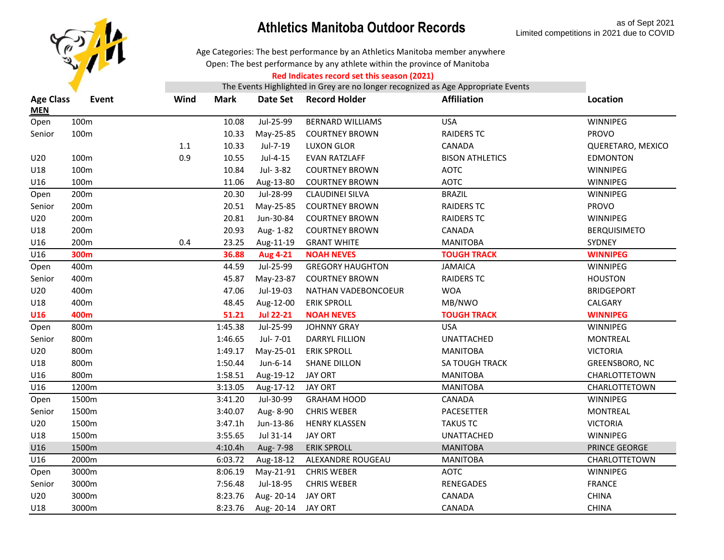

Age Categories: The best performance by an Athletics Manitoba member anywhere

Open: The best performance by any athlete within the province of Manitoba

#### **Red Indicates record set this season (2021)**

| Jul-25-99<br><b>USA</b><br>WINNIPEG<br>100m<br>10.08<br><b>BERNARD WILLIAMS</b><br>Open<br><b>PROVO</b><br>Senior<br>100m<br>10.33<br>May-25-85<br><b>COURTNEY BROWN</b><br><b>RAIDERS TC</b><br>$1.1\,$<br>Jul-7-19<br>10.33<br>LUXON GLOR<br>CANADA<br>QUERETARO, MEXICO<br>0.9<br>Jul-4-15<br>U20<br>100m<br>10.55<br><b>EVAN RATZLAFF</b><br><b>BISON ATHLETICS</b><br><b>EDMONTON</b><br>U18<br>100m<br>Jul-3-82<br>10.84<br><b>COURTNEY BROWN</b><br><b>AOTC</b><br><b>WINNIPEG</b><br>U16<br>100m<br>Aug-13-80<br><b>COURTNEY BROWN</b><br><b>AOTC</b><br>WINNIPEG<br>11.06<br>200m<br>Jul-28-99<br><b>BRAZIL</b><br>WINNIPEG<br>20.30<br><b>CLAUDINEI SILVA</b><br>Open<br>200m<br>20.51<br>May-25-85<br><b>RAIDERS TC</b><br><b>PROVO</b><br>Senior<br><b>COURTNEY BROWN</b><br>U20<br>200m<br>20.81<br>Jun-30-84<br><b>COURTNEY BROWN</b><br><b>RAIDERS TC</b><br>WINNIPEG<br>U18<br>200m<br>Aug-1-82<br>20.93<br><b>COURTNEY BROWN</b><br>CANADA<br><b>BERQUISIMETO</b><br>200m<br>U16<br>0.4<br>23.25<br>Aug-11-19<br><b>GRANT WHITE</b><br><b>MANITOBA</b><br>SYDNEY<br>U16<br>300m<br>36.88<br><b>Aug 4-21</b><br><b>NOAH NEVES</b><br><b>TOUGH TRACK</b><br><b>WINNIPEG</b><br>400m<br>Jul-25-99<br>WINNIPEG<br>44.59<br><b>GREGORY HAUGHTON</b><br><b>JAMAICA</b><br>Open<br>Senior<br>400m<br>45.87<br>May-23-87<br><b>COURTNEY BROWN</b><br><b>RAIDERS TC</b><br><b>HOUSTON</b><br>U20<br>47.06<br>Jul-19-03<br><b>WOA</b><br>400m<br><b>BRIDGEPORT</b><br>NATHAN VADEBONCOEUR<br>U18<br>400m<br>Aug-12-00<br><b>ERIK SPROLL</b><br>MB/NWO<br>CALGARY<br>48.45<br><b>U16</b><br>400m<br>51.21<br><b>Jul 22-21</b><br><b>WINNIPEG</b><br><b>NOAH NEVES</b><br><b>TOUGH TRACK</b><br>800m<br>1:45.38<br>Jul-25-99<br><b>JOHNNY GRAY</b><br><b>USA</b><br>WINNIPEG<br>Open<br>800m<br>1:46.65<br>Jul- 7-01<br>Senior<br><b>DARRYL FILLION</b><br><b>UNATTACHED</b><br><b>MONTREAL</b><br>U20<br>800m<br><b>VICTORIA</b><br>1:49.17<br>May-25-01<br><b>ERIK SPROLL</b><br><b>MANITOBA</b><br>U18<br>800m<br>1:50.44<br>Jun-6-14<br><b>SHANE DILLON</b><br>SA TOUGH TRACK<br>GREENSBORO, NC<br>U16<br>800m<br>1:58.51<br>Aug-19-12<br>JAY ORT<br><b>MANITOBA</b><br><b>CHARLOTTETOWN</b><br>1200m<br>U16<br>3:13.05<br>Aug-17-12<br><b>JAY ORT</b><br><b>MANITOBA</b><br>CHARLOTTETOWN<br>1500m<br>Jul-30-99<br>WINNIPEG<br>3:41.20<br><b>GRAHAM HOOD</b><br>CANADA<br>Open<br>1500m<br>3:40.07<br>Aug-8-90<br><b>CHRIS WEBER</b><br><b>MONTREAL</b><br>Senior<br>PACESETTER<br>U20<br>1500m<br>3:47.1h<br>Jun-13-86<br><b>HENRY KLASSEN</b><br><b>TAKUS TC</b><br><b>VICTORIA</b><br>1500m<br>Jul 31-14<br>U18<br>3:55.65<br><b>JAY ORT</b><br>WINNIPEG<br><b>UNATTACHED</b><br>U16<br>1500m<br>4:10.4h<br><b>ERIK SPROLL</b><br><b>MANITOBA</b><br>PRINCE GEORGE<br>Aug- 7-98<br>U16<br>2000m<br>6:03.72<br>ALEXANDRE ROUGEAU<br>Aug-18-12<br><b>MANITOBA</b><br>CHARLOTTETOWN<br>3000m<br>May-21-91<br><b>AOTC</b><br>8:06.19<br><b>CHRIS WEBER</b><br>WINNIPEG<br>Open<br>3000m<br>7:56.48<br>Jul-18-95<br><b>CHRIS WEBER</b><br><b>RENEGADES</b><br><b>FRANCE</b><br>Senior<br>U20<br>3000m<br>Aug-20-14<br><b>CHINA</b><br>8:23.76<br><b>JAY ORT</b><br>CANADA<br>3000m<br>8:23.76<br>CANADA<br><b>CHINA</b><br>U18<br>Aug-20-14 JAY ORT | <b>Age Class</b><br><b>MEN</b> | Event | Wind | Mark | Date Set | <b>Record Holder</b> | <b>Affiliation</b> | Location |
|-------------------------------------------------------------------------------------------------------------------------------------------------------------------------------------------------------------------------------------------------------------------------------------------------------------------------------------------------------------------------------------------------------------------------------------------------------------------------------------------------------------------------------------------------------------------------------------------------------------------------------------------------------------------------------------------------------------------------------------------------------------------------------------------------------------------------------------------------------------------------------------------------------------------------------------------------------------------------------------------------------------------------------------------------------------------------------------------------------------------------------------------------------------------------------------------------------------------------------------------------------------------------------------------------------------------------------------------------------------------------------------------------------------------------------------------------------------------------------------------------------------------------------------------------------------------------------------------------------------------------------------------------------------------------------------------------------------------------------------------------------------------------------------------------------------------------------------------------------------------------------------------------------------------------------------------------------------------------------------------------------------------------------------------------------------------------------------------------------------------------------------------------------------------------------------------------------------------------------------------------------------------------------------------------------------------------------------------------------------------------------------------------------------------------------------------------------------------------------------------------------------------------------------------------------------------------------------------------------------------------------------------------------------------------------------------------------------------------------------------------------------------------------------------------------------------------------------------------------------------------------------------------------------------------------------------------------------------------------------------------------------------------------------------------------------------------------------------------------------------------------------------------------------------------------------------------------------------------------------------------------------|--------------------------------|-------|------|------|----------|----------------------|--------------------|----------|
|                                                                                                                                                                                                                                                                                                                                                                                                                                                                                                                                                                                                                                                                                                                                                                                                                                                                                                                                                                                                                                                                                                                                                                                                                                                                                                                                                                                                                                                                                                                                                                                                                                                                                                                                                                                                                                                                                                                                                                                                                                                                                                                                                                                                                                                                                                                                                                                                                                                                                                                                                                                                                                                                                                                                                                                                                                                                                                                                                                                                                                                                                                                                                                                                                                                             |                                |       |      |      |          |                      |                    |          |
|                                                                                                                                                                                                                                                                                                                                                                                                                                                                                                                                                                                                                                                                                                                                                                                                                                                                                                                                                                                                                                                                                                                                                                                                                                                                                                                                                                                                                                                                                                                                                                                                                                                                                                                                                                                                                                                                                                                                                                                                                                                                                                                                                                                                                                                                                                                                                                                                                                                                                                                                                                                                                                                                                                                                                                                                                                                                                                                                                                                                                                                                                                                                                                                                                                                             |                                |       |      |      |          |                      |                    |          |
|                                                                                                                                                                                                                                                                                                                                                                                                                                                                                                                                                                                                                                                                                                                                                                                                                                                                                                                                                                                                                                                                                                                                                                                                                                                                                                                                                                                                                                                                                                                                                                                                                                                                                                                                                                                                                                                                                                                                                                                                                                                                                                                                                                                                                                                                                                                                                                                                                                                                                                                                                                                                                                                                                                                                                                                                                                                                                                                                                                                                                                                                                                                                                                                                                                                             |                                |       |      |      |          |                      |                    |          |
|                                                                                                                                                                                                                                                                                                                                                                                                                                                                                                                                                                                                                                                                                                                                                                                                                                                                                                                                                                                                                                                                                                                                                                                                                                                                                                                                                                                                                                                                                                                                                                                                                                                                                                                                                                                                                                                                                                                                                                                                                                                                                                                                                                                                                                                                                                                                                                                                                                                                                                                                                                                                                                                                                                                                                                                                                                                                                                                                                                                                                                                                                                                                                                                                                                                             |                                |       |      |      |          |                      |                    |          |
|                                                                                                                                                                                                                                                                                                                                                                                                                                                                                                                                                                                                                                                                                                                                                                                                                                                                                                                                                                                                                                                                                                                                                                                                                                                                                                                                                                                                                                                                                                                                                                                                                                                                                                                                                                                                                                                                                                                                                                                                                                                                                                                                                                                                                                                                                                                                                                                                                                                                                                                                                                                                                                                                                                                                                                                                                                                                                                                                                                                                                                                                                                                                                                                                                                                             |                                |       |      |      |          |                      |                    |          |
|                                                                                                                                                                                                                                                                                                                                                                                                                                                                                                                                                                                                                                                                                                                                                                                                                                                                                                                                                                                                                                                                                                                                                                                                                                                                                                                                                                                                                                                                                                                                                                                                                                                                                                                                                                                                                                                                                                                                                                                                                                                                                                                                                                                                                                                                                                                                                                                                                                                                                                                                                                                                                                                                                                                                                                                                                                                                                                                                                                                                                                                                                                                                                                                                                                                             |                                |       |      |      |          |                      |                    |          |
|                                                                                                                                                                                                                                                                                                                                                                                                                                                                                                                                                                                                                                                                                                                                                                                                                                                                                                                                                                                                                                                                                                                                                                                                                                                                                                                                                                                                                                                                                                                                                                                                                                                                                                                                                                                                                                                                                                                                                                                                                                                                                                                                                                                                                                                                                                                                                                                                                                                                                                                                                                                                                                                                                                                                                                                                                                                                                                                                                                                                                                                                                                                                                                                                                                                             |                                |       |      |      |          |                      |                    |          |
|                                                                                                                                                                                                                                                                                                                                                                                                                                                                                                                                                                                                                                                                                                                                                                                                                                                                                                                                                                                                                                                                                                                                                                                                                                                                                                                                                                                                                                                                                                                                                                                                                                                                                                                                                                                                                                                                                                                                                                                                                                                                                                                                                                                                                                                                                                                                                                                                                                                                                                                                                                                                                                                                                                                                                                                                                                                                                                                                                                                                                                                                                                                                                                                                                                                             |                                |       |      |      |          |                      |                    |          |
|                                                                                                                                                                                                                                                                                                                                                                                                                                                                                                                                                                                                                                                                                                                                                                                                                                                                                                                                                                                                                                                                                                                                                                                                                                                                                                                                                                                                                                                                                                                                                                                                                                                                                                                                                                                                                                                                                                                                                                                                                                                                                                                                                                                                                                                                                                                                                                                                                                                                                                                                                                                                                                                                                                                                                                                                                                                                                                                                                                                                                                                                                                                                                                                                                                                             |                                |       |      |      |          |                      |                    |          |
|                                                                                                                                                                                                                                                                                                                                                                                                                                                                                                                                                                                                                                                                                                                                                                                                                                                                                                                                                                                                                                                                                                                                                                                                                                                                                                                                                                                                                                                                                                                                                                                                                                                                                                                                                                                                                                                                                                                                                                                                                                                                                                                                                                                                                                                                                                                                                                                                                                                                                                                                                                                                                                                                                                                                                                                                                                                                                                                                                                                                                                                                                                                                                                                                                                                             |                                |       |      |      |          |                      |                    |          |
|                                                                                                                                                                                                                                                                                                                                                                                                                                                                                                                                                                                                                                                                                                                                                                                                                                                                                                                                                                                                                                                                                                                                                                                                                                                                                                                                                                                                                                                                                                                                                                                                                                                                                                                                                                                                                                                                                                                                                                                                                                                                                                                                                                                                                                                                                                                                                                                                                                                                                                                                                                                                                                                                                                                                                                                                                                                                                                                                                                                                                                                                                                                                                                                                                                                             |                                |       |      |      |          |                      |                    |          |
|                                                                                                                                                                                                                                                                                                                                                                                                                                                                                                                                                                                                                                                                                                                                                                                                                                                                                                                                                                                                                                                                                                                                                                                                                                                                                                                                                                                                                                                                                                                                                                                                                                                                                                                                                                                                                                                                                                                                                                                                                                                                                                                                                                                                                                                                                                                                                                                                                                                                                                                                                                                                                                                                                                                                                                                                                                                                                                                                                                                                                                                                                                                                                                                                                                                             |                                |       |      |      |          |                      |                    |          |
|                                                                                                                                                                                                                                                                                                                                                                                                                                                                                                                                                                                                                                                                                                                                                                                                                                                                                                                                                                                                                                                                                                                                                                                                                                                                                                                                                                                                                                                                                                                                                                                                                                                                                                                                                                                                                                                                                                                                                                                                                                                                                                                                                                                                                                                                                                                                                                                                                                                                                                                                                                                                                                                                                                                                                                                                                                                                                                                                                                                                                                                                                                                                                                                                                                                             |                                |       |      |      |          |                      |                    |          |
|                                                                                                                                                                                                                                                                                                                                                                                                                                                                                                                                                                                                                                                                                                                                                                                                                                                                                                                                                                                                                                                                                                                                                                                                                                                                                                                                                                                                                                                                                                                                                                                                                                                                                                                                                                                                                                                                                                                                                                                                                                                                                                                                                                                                                                                                                                                                                                                                                                                                                                                                                                                                                                                                                                                                                                                                                                                                                                                                                                                                                                                                                                                                                                                                                                                             |                                |       |      |      |          |                      |                    |          |
|                                                                                                                                                                                                                                                                                                                                                                                                                                                                                                                                                                                                                                                                                                                                                                                                                                                                                                                                                                                                                                                                                                                                                                                                                                                                                                                                                                                                                                                                                                                                                                                                                                                                                                                                                                                                                                                                                                                                                                                                                                                                                                                                                                                                                                                                                                                                                                                                                                                                                                                                                                                                                                                                                                                                                                                                                                                                                                                                                                                                                                                                                                                                                                                                                                                             |                                |       |      |      |          |                      |                    |          |
|                                                                                                                                                                                                                                                                                                                                                                                                                                                                                                                                                                                                                                                                                                                                                                                                                                                                                                                                                                                                                                                                                                                                                                                                                                                                                                                                                                                                                                                                                                                                                                                                                                                                                                                                                                                                                                                                                                                                                                                                                                                                                                                                                                                                                                                                                                                                                                                                                                                                                                                                                                                                                                                                                                                                                                                                                                                                                                                                                                                                                                                                                                                                                                                                                                                             |                                |       |      |      |          |                      |                    |          |
|                                                                                                                                                                                                                                                                                                                                                                                                                                                                                                                                                                                                                                                                                                                                                                                                                                                                                                                                                                                                                                                                                                                                                                                                                                                                                                                                                                                                                                                                                                                                                                                                                                                                                                                                                                                                                                                                                                                                                                                                                                                                                                                                                                                                                                                                                                                                                                                                                                                                                                                                                                                                                                                                                                                                                                                                                                                                                                                                                                                                                                                                                                                                                                                                                                                             |                                |       |      |      |          |                      |                    |          |
|                                                                                                                                                                                                                                                                                                                                                                                                                                                                                                                                                                                                                                                                                                                                                                                                                                                                                                                                                                                                                                                                                                                                                                                                                                                                                                                                                                                                                                                                                                                                                                                                                                                                                                                                                                                                                                                                                                                                                                                                                                                                                                                                                                                                                                                                                                                                                                                                                                                                                                                                                                                                                                                                                                                                                                                                                                                                                                                                                                                                                                                                                                                                                                                                                                                             |                                |       |      |      |          |                      |                    |          |
|                                                                                                                                                                                                                                                                                                                                                                                                                                                                                                                                                                                                                                                                                                                                                                                                                                                                                                                                                                                                                                                                                                                                                                                                                                                                                                                                                                                                                                                                                                                                                                                                                                                                                                                                                                                                                                                                                                                                                                                                                                                                                                                                                                                                                                                                                                                                                                                                                                                                                                                                                                                                                                                                                                                                                                                                                                                                                                                                                                                                                                                                                                                                                                                                                                                             |                                |       |      |      |          |                      |                    |          |
|                                                                                                                                                                                                                                                                                                                                                                                                                                                                                                                                                                                                                                                                                                                                                                                                                                                                                                                                                                                                                                                                                                                                                                                                                                                                                                                                                                                                                                                                                                                                                                                                                                                                                                                                                                                                                                                                                                                                                                                                                                                                                                                                                                                                                                                                                                                                                                                                                                                                                                                                                                                                                                                                                                                                                                                                                                                                                                                                                                                                                                                                                                                                                                                                                                                             |                                |       |      |      |          |                      |                    |          |
|                                                                                                                                                                                                                                                                                                                                                                                                                                                                                                                                                                                                                                                                                                                                                                                                                                                                                                                                                                                                                                                                                                                                                                                                                                                                                                                                                                                                                                                                                                                                                                                                                                                                                                                                                                                                                                                                                                                                                                                                                                                                                                                                                                                                                                                                                                                                                                                                                                                                                                                                                                                                                                                                                                                                                                                                                                                                                                                                                                                                                                                                                                                                                                                                                                                             |                                |       |      |      |          |                      |                    |          |
|                                                                                                                                                                                                                                                                                                                                                                                                                                                                                                                                                                                                                                                                                                                                                                                                                                                                                                                                                                                                                                                                                                                                                                                                                                                                                                                                                                                                                                                                                                                                                                                                                                                                                                                                                                                                                                                                                                                                                                                                                                                                                                                                                                                                                                                                                                                                                                                                                                                                                                                                                                                                                                                                                                                                                                                                                                                                                                                                                                                                                                                                                                                                                                                                                                                             |                                |       |      |      |          |                      |                    |          |
|                                                                                                                                                                                                                                                                                                                                                                                                                                                                                                                                                                                                                                                                                                                                                                                                                                                                                                                                                                                                                                                                                                                                                                                                                                                                                                                                                                                                                                                                                                                                                                                                                                                                                                                                                                                                                                                                                                                                                                                                                                                                                                                                                                                                                                                                                                                                                                                                                                                                                                                                                                                                                                                                                                                                                                                                                                                                                                                                                                                                                                                                                                                                                                                                                                                             |                                |       |      |      |          |                      |                    |          |
|                                                                                                                                                                                                                                                                                                                                                                                                                                                                                                                                                                                                                                                                                                                                                                                                                                                                                                                                                                                                                                                                                                                                                                                                                                                                                                                                                                                                                                                                                                                                                                                                                                                                                                                                                                                                                                                                                                                                                                                                                                                                                                                                                                                                                                                                                                                                                                                                                                                                                                                                                                                                                                                                                                                                                                                                                                                                                                                                                                                                                                                                                                                                                                                                                                                             |                                |       |      |      |          |                      |                    |          |
|                                                                                                                                                                                                                                                                                                                                                                                                                                                                                                                                                                                                                                                                                                                                                                                                                                                                                                                                                                                                                                                                                                                                                                                                                                                                                                                                                                                                                                                                                                                                                                                                                                                                                                                                                                                                                                                                                                                                                                                                                                                                                                                                                                                                                                                                                                                                                                                                                                                                                                                                                                                                                                                                                                                                                                                                                                                                                                                                                                                                                                                                                                                                                                                                                                                             |                                |       |      |      |          |                      |                    |          |
|                                                                                                                                                                                                                                                                                                                                                                                                                                                                                                                                                                                                                                                                                                                                                                                                                                                                                                                                                                                                                                                                                                                                                                                                                                                                                                                                                                                                                                                                                                                                                                                                                                                                                                                                                                                                                                                                                                                                                                                                                                                                                                                                                                                                                                                                                                                                                                                                                                                                                                                                                                                                                                                                                                                                                                                                                                                                                                                                                                                                                                                                                                                                                                                                                                                             |                                |       |      |      |          |                      |                    |          |
|                                                                                                                                                                                                                                                                                                                                                                                                                                                                                                                                                                                                                                                                                                                                                                                                                                                                                                                                                                                                                                                                                                                                                                                                                                                                                                                                                                                                                                                                                                                                                                                                                                                                                                                                                                                                                                                                                                                                                                                                                                                                                                                                                                                                                                                                                                                                                                                                                                                                                                                                                                                                                                                                                                                                                                                                                                                                                                                                                                                                                                                                                                                                                                                                                                                             |                                |       |      |      |          |                      |                    |          |
|                                                                                                                                                                                                                                                                                                                                                                                                                                                                                                                                                                                                                                                                                                                                                                                                                                                                                                                                                                                                                                                                                                                                                                                                                                                                                                                                                                                                                                                                                                                                                                                                                                                                                                                                                                                                                                                                                                                                                                                                                                                                                                                                                                                                                                                                                                                                                                                                                                                                                                                                                                                                                                                                                                                                                                                                                                                                                                                                                                                                                                                                                                                                                                                                                                                             |                                |       |      |      |          |                      |                    |          |
|                                                                                                                                                                                                                                                                                                                                                                                                                                                                                                                                                                                                                                                                                                                                                                                                                                                                                                                                                                                                                                                                                                                                                                                                                                                                                                                                                                                                                                                                                                                                                                                                                                                                                                                                                                                                                                                                                                                                                                                                                                                                                                                                                                                                                                                                                                                                                                                                                                                                                                                                                                                                                                                                                                                                                                                                                                                                                                                                                                                                                                                                                                                                                                                                                                                             |                                |       |      |      |          |                      |                    |          |
|                                                                                                                                                                                                                                                                                                                                                                                                                                                                                                                                                                                                                                                                                                                                                                                                                                                                                                                                                                                                                                                                                                                                                                                                                                                                                                                                                                                                                                                                                                                                                                                                                                                                                                                                                                                                                                                                                                                                                                                                                                                                                                                                                                                                                                                                                                                                                                                                                                                                                                                                                                                                                                                                                                                                                                                                                                                                                                                                                                                                                                                                                                                                                                                                                                                             |                                |       |      |      |          |                      |                    |          |
|                                                                                                                                                                                                                                                                                                                                                                                                                                                                                                                                                                                                                                                                                                                                                                                                                                                                                                                                                                                                                                                                                                                                                                                                                                                                                                                                                                                                                                                                                                                                                                                                                                                                                                                                                                                                                                                                                                                                                                                                                                                                                                                                                                                                                                                                                                                                                                                                                                                                                                                                                                                                                                                                                                                                                                                                                                                                                                                                                                                                                                                                                                                                                                                                                                                             |                                |       |      |      |          |                      |                    |          |
|                                                                                                                                                                                                                                                                                                                                                                                                                                                                                                                                                                                                                                                                                                                                                                                                                                                                                                                                                                                                                                                                                                                                                                                                                                                                                                                                                                                                                                                                                                                                                                                                                                                                                                                                                                                                                                                                                                                                                                                                                                                                                                                                                                                                                                                                                                                                                                                                                                                                                                                                                                                                                                                                                                                                                                                                                                                                                                                                                                                                                                                                                                                                                                                                                                                             |                                |       |      |      |          |                      |                    |          |
|                                                                                                                                                                                                                                                                                                                                                                                                                                                                                                                                                                                                                                                                                                                                                                                                                                                                                                                                                                                                                                                                                                                                                                                                                                                                                                                                                                                                                                                                                                                                                                                                                                                                                                                                                                                                                                                                                                                                                                                                                                                                                                                                                                                                                                                                                                                                                                                                                                                                                                                                                                                                                                                                                                                                                                                                                                                                                                                                                                                                                                                                                                                                                                                                                                                             |                                |       |      |      |          |                      |                    |          |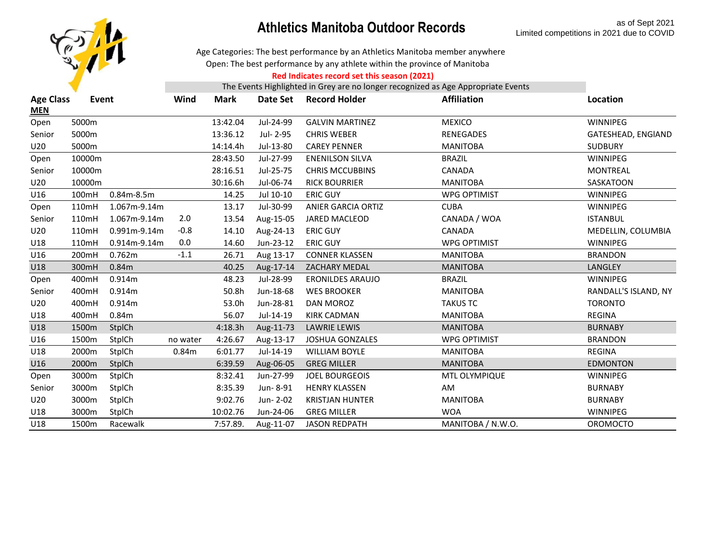

Age Categories: The best performance by an Athletics Manitoba member anywhere

Open: The best performance by any athlete within the province of Manitoba

#### **Red Indicates record set this season (2021)**

| <b>Age Class</b><br><b>MEN</b> | Event  |                   | Wind     | Mark     | Date Set  | <b>Record Holder</b>      | <b>Affiliation</b>   | Location             |
|--------------------------------|--------|-------------------|----------|----------|-----------|---------------------------|----------------------|----------------------|
| Open                           | 5000m  |                   |          | 13:42.04 | Jul-24-99 | <b>GALVIN MARTINEZ</b>    | <b>MEXICO</b>        | WINNIPEG             |
| Senior                         | 5000m  |                   |          | 13:36.12 | Jul- 2-95 | <b>CHRIS WEBER</b>        | <b>RENEGADES</b>     | GATESHEAD, ENGIAND   |
| U20                            | 5000m  |                   |          | 14:14.4h | Jul-13-80 | <b>CAREY PENNER</b>       | <b>MANITOBA</b>      | <b>SUDBURY</b>       |
| Open                           | 10000m |                   |          | 28:43.50 | Jul-27-99 | <b>ENENILSON SILVA</b>    | <b>BRAZIL</b>        | WINNIPEG             |
| Senior                         | 10000m |                   |          | 28:16.51 | Jul-25-75 | <b>CHRIS MCCUBBINS</b>    | CANADA               | <b>MONTREAL</b>      |
| U20                            | 10000m |                   |          | 30:16.6h | Jul-06-74 | <b>RICK BOURRIER</b>      | <b>MANITOBA</b>      | SASKATOON            |
| U16                            | 100mH  | $0.84m-8.5m$      |          | 14.25    | Jul 10-10 | <b>ERIC GUY</b>           | <b>WPG OPTIMIST</b>  | WINNIPEG             |
| Open                           | 110mH  | 1.067m-9.14m      |          | 13.17    | Jul-30-99 | <b>ANIER GARCIA ORTIZ</b> | <b>CUBA</b>          | WINNIPEG             |
| Senior                         | 110mH  | 1.067m-9.14m      | 2.0      | 13.54    | Aug-15-05 | <b>JARED MACLEOD</b>      | CANADA / WOA         | <b>ISTANBUL</b>      |
| U20                            | 110mH  | 0.991m-9.14m      | $-0.8$   | 14.10    | Aug-24-13 | <b>ERIC GUY</b>           | CANADA               | MEDELLIN, COLUMBIA   |
| U18                            | 110mH  | 0.914m-9.14m      | 0.0      | 14.60    | Jun-23-12 | <b>ERIC GUY</b>           | <b>WPG OPTIMIST</b>  | WINNIPEG             |
| U16                            | 200mH  | 0.762m            | $-1.1$   | 26.71    | Aug 13-17 | <b>CONNER KLASSEN</b>     | <b>MANITOBA</b>      | <b>BRANDON</b>       |
| U18                            | 300mH  | 0.84 <sub>m</sub> |          | 40.25    | Aug-17-14 | <b>ZACHARY MEDAL</b>      | <b>MANITOBA</b>      | LANGLEY              |
| Open                           | 400mH  | 0.914m            |          | 48.23    | Jul-28-99 | <b>ERONILDES ARAUJO</b>   | <b>BRAZIL</b>        | WINNIPEG             |
| Senior                         | 400mH  | 0.914m            |          | 50.8h    | Jun-18-68 | <b>WES BROOKER</b>        | <b>MANITOBA</b>      | RANDALL'S ISLAND, NY |
| U20                            | 400mH  | 0.914m            |          | 53.0h    | Jun-28-81 | DAN MOROZ                 | <b>TAKUS TC</b>      | <b>TORONTO</b>       |
| U18                            | 400mH  | 0.84m             |          | 56.07    | Jul-14-19 | <b>KIRK CADMAN</b>        | <b>MANITOBA</b>      | <b>REGINA</b>        |
| U18                            | 1500m  | StplCh            |          | 4:18.3h  | Aug-11-73 | <b>LAWRIE LEWIS</b>       | <b>MANITOBA</b>      | <b>BURNABY</b>       |
| U16                            | 1500m  | StplCh            | no water | 4:26.67  | Aug-13-17 | <b>JOSHUA GONZALES</b>    | WPG OPTIMIST         | <b>BRANDON</b>       |
| U18                            | 2000m  | StplCh            | 0.84m    | 6:01.77  | Jul-14-19 | <b>WILLIAM BOYLE</b>      | <b>MANITOBA</b>      | <b>REGINA</b>        |
| U16                            | 2000m  | StplCh            |          | 6:39.59  | Aug-06-05 | <b>GREG MILLER</b>        | <b>MANITOBA</b>      | <b>EDMONTON</b>      |
| Open                           | 3000m  | StplCh            |          | 8:32.41  | Jun-27-99 | <b>JOEL BOURGEOIS</b>     | <b>MTL OLYMPIQUE</b> | <b>WINNIPEG</b>      |
| Senior                         | 3000m  | StplCh            |          | 8:35.39  | Jun-8-91  | <b>HENRY KLASSEN</b>      | AM                   | <b>BURNABY</b>       |
| U20                            | 3000m  | StplCh            |          | 9:02.76  | Jun-2-02  | <b>KRISTJAN HUNTER</b>    | <b>MANITOBA</b>      | <b>BURNABY</b>       |
| U18                            | 3000m  | StplCh            |          | 10:02.76 | Jun-24-06 | <b>GREG MILLER</b>        | <b>WOA</b>           | WINNIPEG             |
| U18                            | 1500m  | Racewalk          |          | 7:57.89. | Aug-11-07 | <b>JASON REDPATH</b>      | MANITOBA / N.W.O.    | <b>OROMOCTO</b>      |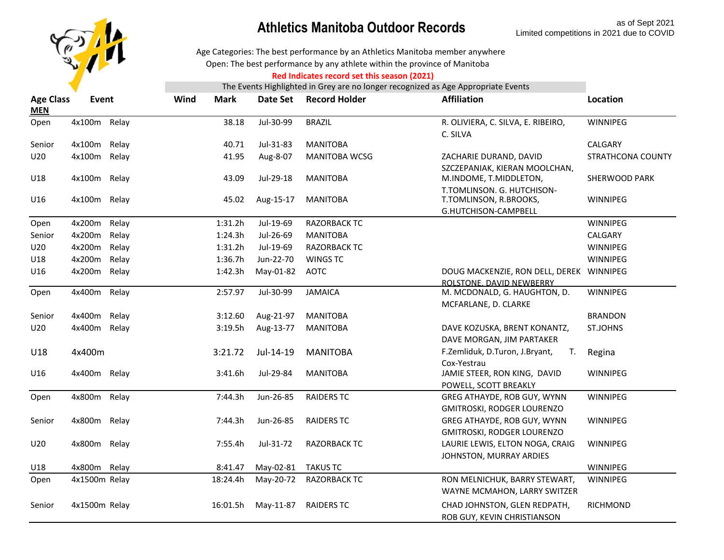

### **Athletics Manitoba Outdoor Records** as of Sept 2021

Age Categories: The best performance by an Athletics Manitoba member anywhere

Open: The best performance by any athlete within the province of Manitoba

#### **Red Indicates record set this season (2021)**

| <b>Age Class</b><br><b>MEN</b> | Event         |       | Wind | Mark     | Date Set  | <b>Record Holder</b> | <b>Affiliation</b>                                                   | Location          |
|--------------------------------|---------------|-------|------|----------|-----------|----------------------|----------------------------------------------------------------------|-------------------|
| Open                           | 4x100m Relay  |       |      | 38.18    | Jul-30-99 | <b>BRAZIL</b>        | R. OLIVIERA, C. SILVA, E. RIBEIRO,<br>C. SILVA                       | <b>WINNIPEG</b>   |
| Senior                         | 4x100m        | Relay |      | 40.71    | Jul-31-83 | <b>MANITOBA</b>      |                                                                      | CALGARY           |
| U20                            | 4x100m Relay  |       |      | 41.95    | Aug-8-07  | <b>MANITOBA WCSG</b> | ZACHARIE DURAND, DAVID                                               | STRATHCONA COUNTY |
| U18                            | 4x100m Relay  |       |      | 43.09    | Jul-29-18 | <b>MANITOBA</b>      | SZCZEPANIAK, KIERAN MOOLCHAN,<br>M.INDOME, T.MIDDLETON,              | SHERWOOD PARK     |
| U16                            | 4x100m Relay  |       |      | 45.02    | Aug-15-17 | <b>MANITOBA</b>      | T.TOMLINSON. G. HUTCHISON-<br>T.TOMLINSON, R.BROOKS,                 | WINNIPEG          |
|                                |               |       |      |          | Jul-19-69 | <b>RAZORBACK TC</b>  | G.HUTCHISON-CAMPBELL                                                 | <b>WINNIPEG</b>   |
| Open                           | 4x200m        | Relay |      | 1:31.2h  |           |                      |                                                                      |                   |
| Senior                         | 4x200m        | Relay |      | 1:24.3h  | Jul-26-69 | <b>MANITOBA</b>      |                                                                      | CALGARY           |
| U20                            | 4x200m        | Relay |      | 1:31.2h  | Jul-19-69 | <b>RAZORBACK TC</b>  |                                                                      | WINNIPEG          |
| U18                            | 4x200m        | Relay |      | 1:36.7h  | Jun-22-70 | <b>WINGS TC</b>      |                                                                      | <b>WINNIPEG</b>   |
| U16                            | 4x200m Relay  |       |      | 1:42.3h  | May-01-82 | <b>AOTC</b>          | DOUG MACKENZIE, RON DELL, DEREK WINNIPEG<br>ROLSTONE, DAVID NEWBERRY |                   |
| Open                           | 4x400m Relay  |       |      | 2:57.97  | Jul-30-99 | <b>JAMAICA</b>       | M. MCDONALD, G. HAUGHTON, D.                                         | WINNIPEG          |
|                                |               |       |      |          |           |                      | MCFARLANE, D. CLARKE                                                 |                   |
| Senior                         | 4x400m        | Relay |      | 3:12.60  | Aug-21-97 | <b>MANITOBA</b>      |                                                                      | <b>BRANDON</b>    |
| U20                            | 4x400m Relay  |       |      | 3:19.5h  | Aug-13-77 | <b>MANITOBA</b>      | DAVE KOZUSKA, BRENT KONANTZ,                                         | <b>ST.JOHNS</b>   |
|                                |               |       |      |          |           |                      | DAVE MORGAN, JIM PARTAKER                                            |                   |
| U18                            | 4x400m        |       |      | 3:21.72  | Jul-14-19 | <b>MANITOBA</b>      | F.Zemliduk, D.Turon, J.Bryant,<br>T.                                 | Regina            |
|                                |               |       |      |          |           |                      | Cox-Yestrau                                                          |                   |
| U16                            | 4x400m Relay  |       |      | 3:41.6h  | Jul-29-84 | <b>MANITOBA</b>      | JAMIE STEER, RON KING, DAVID                                         | <b>WINNIPEG</b>   |
|                                |               |       |      |          |           |                      | POWELL, SCOTT BREAKLY                                                |                   |
| Open                           | 4x800m Relay  |       |      | 7:44.3h  | Jun-26-85 | <b>RAIDERS TC</b>    | GREG ATHAYDE, ROB GUY, WYNN                                          | WINNIPEG          |
|                                |               |       |      |          |           |                      | GMITROSKI, RODGER LOURENZO                                           |                   |
| Senior                         | 4x800m Relay  |       |      | 7:44.3h  | Jun-26-85 | <b>RAIDERS TC</b>    | GREG ATHAYDE, ROB GUY, WYNN                                          | <b>WINNIPEG</b>   |
|                                |               |       |      |          |           |                      | GMITROSKI, RODGER LOURENZO                                           |                   |
| U20                            | 4x800m Relay  |       |      | 7:55.4h  | Jul-31-72 | <b>RAZORBACK TC</b>  | LAURIE LEWIS, ELTON NOGA, CRAIG                                      | WINNIPEG          |
|                                |               |       |      |          |           |                      | JOHNSTON, MURRAY ARDIES                                              |                   |
| U18                            | 4x800m        | Relay |      | 8:41.47  | May-02-81 | <b>TAKUS TC</b>      |                                                                      | WINNIPEG          |
| Open                           | 4x1500m Relay |       |      | 18:24.4h | May-20-72 | <b>RAZORBACK TC</b>  | RON MELNICHUK, BARRY STEWART,                                        | WINNIPEG          |
|                                |               |       |      |          |           |                      | WAYNE MCMAHON, LARRY SWITZER                                         |                   |
| Senior                         | 4x1500m Relay |       |      | 16:01.5h | May-11-87 | <b>RAIDERS TC</b>    | CHAD JOHNSTON, GLEN REDPATH,                                         | RICHMOND          |
|                                |               |       |      |          |           |                      | ROB GUY, KEVIN CHRISTIANSON                                          |                   |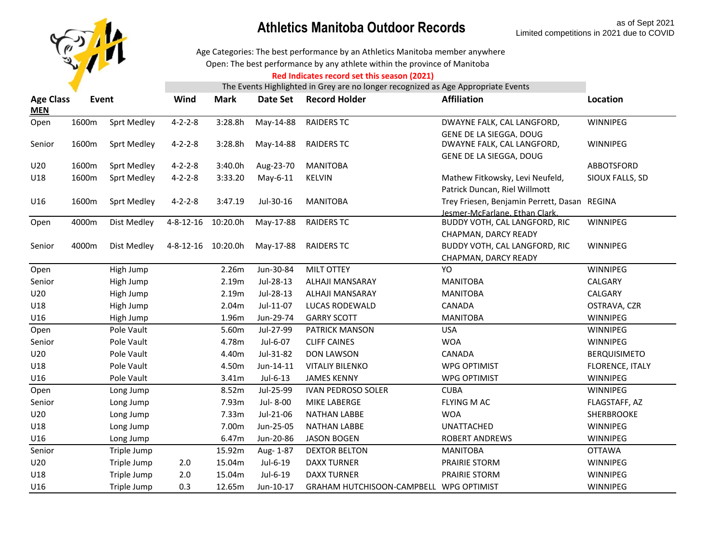

Open: The best performance by any athlete within the province of Manitoba Age Categories: The best performance by an Athletics Manitoba member anywhere

#### **Red Indicates record set this season (2021)**

| <b>Age Class</b><br><b>MEN</b> | Event |                    | Wind              | <b>Mark</b> | Date Set  | <b>Record Holder</b>              | <b>Affiliation</b>                                    | Location            |
|--------------------------------|-------|--------------------|-------------------|-------------|-----------|-----------------------------------|-------------------------------------------------------|---------------------|
| Open                           | 1600m | <b>Sprt Medley</b> | $4 - 2 - 2 - 8$   | 3:28.8h     | May-14-88 | <b>RAIDERS TC</b>                 | DWAYNE FALK, CAL LANGFORD,                            | WINNIPEG            |
| Senior                         | 1600m | <b>Sprt Medley</b> | $4 - 2 - 2 - 8$   | 3:28.8h     | May-14-88 | <b>RAIDERS TC</b>                 | GENE DE LA SIEGGA, DOUG<br>DWAYNE FALK, CAL LANGFORD, | WINNIPEG            |
| U20                            | 1600m | <b>Sprt Medley</b> | $4 - 2 - 2 - 8$   | 3:40.0h     | Aug-23-70 | <b>MANITOBA</b>                   | GENE DE LA SIEGGA, DOUG                               | ABBOTSFORD          |
| U18                            | 1600m | <b>Sprt Medley</b> | $4 - 2 - 2 - 8$   | 3:33.20     | May-6-11  | <b>KELVIN</b>                     | Mathew Fitkowsky, Levi Neufeld,                       | SIOUX FALLS, SD     |
|                                |       |                    |                   |             |           |                                   | Patrick Duncan, Riel Willmott                         |                     |
| U16                            | 1600m | <b>Sprt Medley</b> | $4 - 2 - 2 - 8$   | 3:47.19     | Jul-30-16 | <b>MANITOBA</b>                   | Trey Friesen, Benjamin Perrett, Dasan REGINA          |                     |
|                                |       |                    |                   |             |           |                                   | Jesmer-McFarlane, Ethan Clark,                        |                     |
| Open                           | 4000m | Dist Medley        | $4 - 8 - 12 - 16$ | 10:20.0h    | May-17-88 | <b>RAIDERS TC</b>                 | BUDDY VOTH, CAL LANGFORD, RIC                         | WINNIPEG            |
|                                |       |                    |                   |             |           |                                   | CHAPMAN, DARCY READY                                  |                     |
| Senior                         | 4000m | Dist Medley        | 4-8-12-16         | 10:20.0h    | May-17-88 | <b>RAIDERS TC</b>                 | BUDDY VOTH, CAL LANGFORD, RIC                         | WINNIPEG            |
|                                |       |                    |                   |             |           |                                   | CHAPMAN, DARCY READY                                  |                     |
| Open                           |       | High Jump          |                   | 2.26m       | Jun-30-84 | <b>MILT OTTEY</b>                 | YO                                                    | WINNIPEG            |
| Senior                         |       | High Jump          |                   | 2.19m       | Jul-28-13 | ALHAJI MANSARAY                   | <b>MANITOBA</b>                                       | CALGARY             |
| U20                            |       | High Jump          |                   | 2.19m       | Jul-28-13 | ALHAJI MANSARAY                   | <b>MANITOBA</b>                                       | CALGARY             |
| U18                            |       | High Jump          |                   | 2.04m       | Jul-11-07 | <b>LUCAS RODEWALD</b>             | <b>CANADA</b>                                         | OSTRAVA, CZR        |
| U16                            |       | High Jump          |                   | 1.96m       | Jun-29-74 | <b>GARRY SCOTT</b>                | <b>MANITOBA</b>                                       | WINNIPEG            |
| Open                           |       | Pole Vault         |                   | 5.60m       | Jul-27-99 | <b>PATRICK MANSON</b>             | <b>USA</b>                                            | WINNIPEG            |
| Senior                         |       | Pole Vault         |                   | 4.78m       | Jul-6-07  | <b>CLIFF CAINES</b>               | <b>WOA</b>                                            | WINNIPEG            |
| U20                            |       | Pole Vault         |                   | 4.40m       | Jul-31-82 | <b>DON LAWSON</b>                 | CANADA                                                | <b>BERQUISIMETO</b> |
| U18                            |       | Pole Vault         |                   | 4.50m       | Jun-14-11 | <b>VITALIY BILENKO</b>            | <b>WPG OPTIMIST</b>                                   | FLORENCE, ITALY     |
| U16                            |       | Pole Vault         |                   | 3.41m       | Jul-6-13  | <b>JAMES KENNY</b>                | <b>WPG OPTIMIST</b>                                   | WINNIPEG            |
| Open                           |       | Long Jump          |                   | 8.52m       | Jul-25-99 | <b>IVAN PEDROSO SOLER</b>         | <b>CUBA</b>                                           | WINNIPEG            |
| Senior                         |       | Long Jump          |                   | 7.93m       | Jul-8-00  | <b>MIKE LABERGE</b>               | <b>FLYING M AC</b>                                    | FLAGSTAFF, AZ       |
| U20                            |       | Long Jump          |                   | 7.33m       | Jul-21-06 | <b>NATHAN LABBE</b>               | <b>WOA</b>                                            | SHERBROOKE          |
| U18                            |       | Long Jump          |                   | 7.00m       | Jun-25-05 | <b>NATHAN LABBE</b>               | <b>UNATTACHED</b>                                     | WINNIPEG            |
| U16                            |       | Long Jump          |                   | 6.47m       | Jun-20-86 | <b>JASON BOGEN</b>                | <b>ROBERT ANDREWS</b>                                 | WINNIPEG            |
| Senior                         |       | Triple Jump        |                   | 15.92m      | Aug-1-87  | <b>DEXTOR BELTON</b>              | <b>MANITOBA</b>                                       | <b>OTTAWA</b>       |
| U20                            |       | Triple Jump        | 2.0               | 15.04m      | Jul-6-19  | <b>DAXX TURNER</b>                | PRAIRIE STORM                                         | WINNIPEG            |
| U18                            |       | Triple Jump        | 2.0               | 15.04m      | Jul-6-19  | <b>DAXX TURNER</b>                | PRAIRIE STORM                                         | WINNIPEG            |
| U16                            |       | Triple Jump        | 0.3               | 12.65m      | Jun-10-17 | <b>GRAHAM HUTCHISOON-CAMPBELL</b> | <b>WPG OPTIMIST</b>                                   | WINNIPEG            |